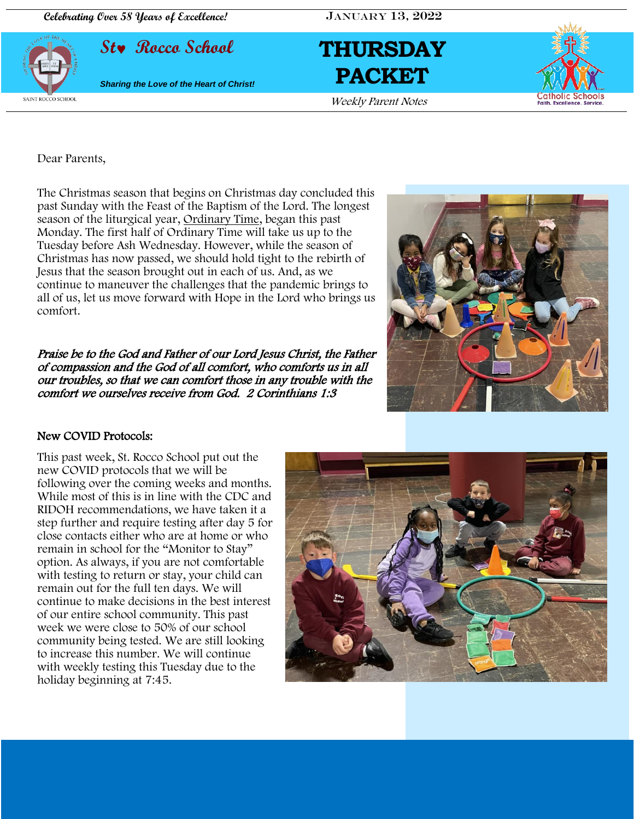**Celebrating Over 58 Years of Excellence!** JANUARY 13, 2022







Dear Parents,

The Christmas season that begins on Christmas day concluded this past Sunday with the Feast of the Baptism of the Lord. The longest season of the liturgical year, [Ordinary Time,](https://www.learnreligions.com/ordinary-time-in-the-catholic-church-542442) began this past Monday. The first half of Ordinary Time will take us up to the Tuesday before Ash Wednesday. However, while the season of Christmas has now passed, we should hold tight to the rebirth of Jesus that the season brought out in each of us. And, as we continue to maneuver the challenges that the pandemic brings to all of us, let us move forward with Hope in the Lord who brings us comfort.

Praise be to the God and Father of our Lord Jesus Christ, the Father of compassion and the God of all comfort, who comforts us in all our troubles, so that we can comfort those in any trouble with the comfort we ourselves receive from God. 2 Corinthians 1:3



### New COVID Protocols:

i<br>I

This past week, St. Rocco School put out the new COVID protocols that we will be following over the coming weeks and months. While most of this is in line with the CDC and RIDOH recommendations, we have taken it a step further and require testing after day 5 for close contacts either who are at home or who remain in school for the "Monitor to Stay" option. As always, if you are not comfortable with testing to return or stay, your child can remain out for the full ten days. We will continue to make decisions in the best interest of our entire school community. This past week we were close to 50% of our school community being tested. We are still looking to increase this number. We will continue with weekly testing this Tuesday due to the holiday beginning at 7:45.

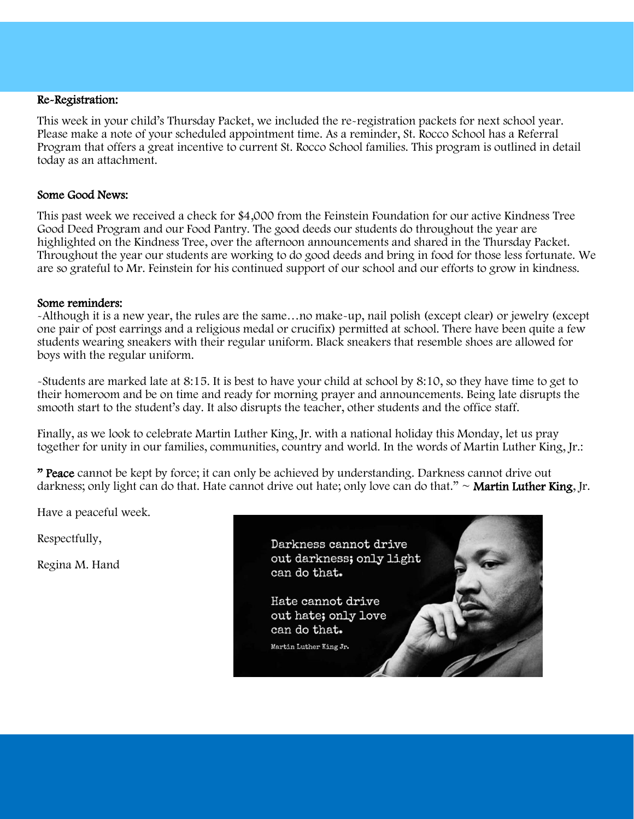### Re-Registration:

This week in your child's Thursday Packet, we included the re-registration packets for next school year. Please make a note of your scheduled appointment time. As a reminder, St. Rocco School has a Referral Program that offers a great incentive to current St. Rocco School families. This program is outlined in detail today as an attachment.

#### Some Good News:

This past week we received a check for \$4,000 from the Feinstein Foundation for our active Kindness Tree Good Deed Program and our Food Pantry. The good deeds our students do throughout the year are highlighted on the Kindness Tree, over the afternoon announcements and shared in the Thursday Packet. Throughout the year our students are working to do good deeds and bring in food for those less fortunate. We are so grateful to Mr. Feinstein for his continued support of our school and our efforts to grow in kindness.

#### Some reminders:

-Although it is a new year, the rules are the same…no make-up, nail polish (except clear) or jewelry (except one pair of post earrings and a religious medal or crucifix) permitted at school. There have been quite a few students wearing sneakers with their regular uniform. Black sneakers that resemble shoes are allowed for boys with the regular uniform.

-Students are marked late at 8:15. It is best to have your child at school by 8:10, so they have time to get to their homeroom and be on time and ready for morning prayer and announcements. Being late disrupts the smooth start to the student's day. It also disrupts the teacher, other students and the office staff.

Finally, as we look to celebrate Martin Luther King, Jr. with a national holiday this Monday, let us pray together for unity in our families, communities, country and world. In the words of Martin Luther King, Jr.:

" Peace cannot be kept by force; it can only be achieved by understanding. Darkness cannot drive out darkness; only light can do that. Hate cannot drive out hate; only love can do that."  $\sim$  **Martin Luther King**, Jr.

Have a peaceful week.

Respectfully,

Regina M. Hand

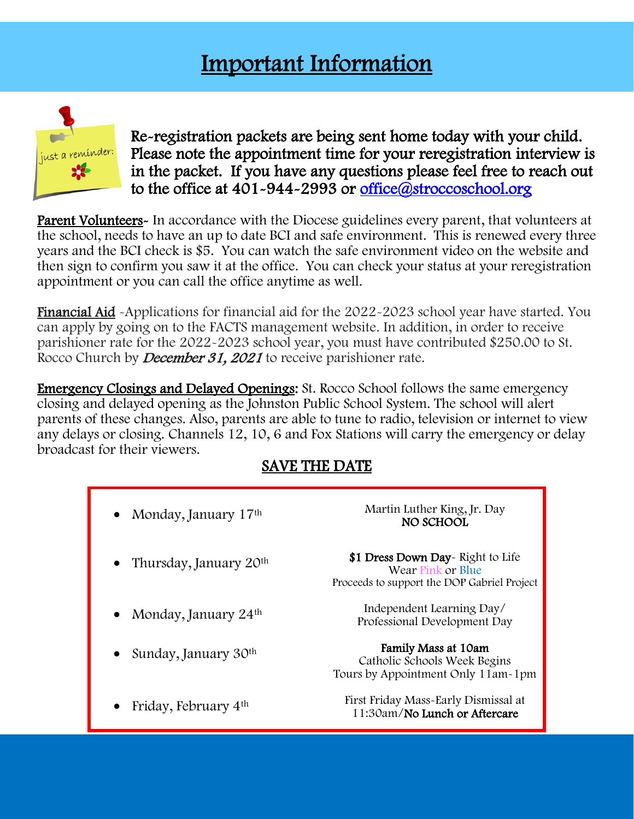## Important Information



l,

Re-registration packets are being sent home today with your child. Please note the appointment time for your reregistration interview is in the packet. If you have any questions please feel free to reach out to the office at 401-944-2993 or office@stroccoschool.org

Ξ

**Parent Volunteers**- In accordance with the Diocese guidelines every parent, that volunteers at the school, needs to have an up to date BCI and safe environment. This is renewed every three years and the BCI check is \$5. You can watch the safe environment video on the website and then sign to confirm you saw it at the office. You can check your status at your reregistration appointment or you can call the office anytime as well.

Financial Aid -Applications for financial aid for the 2022-2023 school year have started. You can apply by going on to the FACTS management website. In addition, in order to receive parishioner rate for the 2022-2023 school year, you must have contributed \$250.00 to St. Rocco Church by *December 31, 2021* to receive parishioner rate.

Emergency Closings and Delayed Openings: St. Rocco School follows the same emergency closing and delayed opening as the Johnston Public School System. The school will alert parents of these changes. Also, parents are able to tune to radio, television or internet to view any delays or closing. Channels 12, 10, 6 and Fox Stations will carry the emergency or delay broadcast for their viewers.

### SAVE THE DATE

| • Monday, January $17th$           | Martin Luther King, Jr. Day<br>NO SCHOOL                                                             |
|------------------------------------|------------------------------------------------------------------------------------------------------|
| • Thursday, January $20th$         | \$1 Dress Down Day-Right to Life<br>Wear Pink or Blue<br>Proceeds to support the DOP Gabriel Project |
| • Monday, January $24th$           | Independent Learning Day/<br>Professional Development Day                                            |
| • Sunday, January 30 <sup>th</sup> | Family Mass at 10am<br>Catholic Schools Week Begins<br>Tours by Appointment Only 11am-1pm            |
| Friday, February 4 <sup>th</sup>   | First Friday Mass-Early Dismissal at<br>11:30am/No Lunch or Aftercare                                |